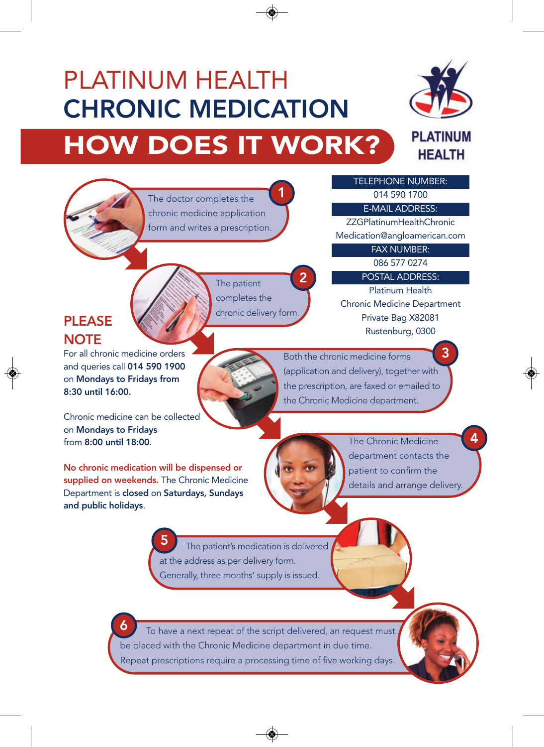## PLATINUM HEALTH CHRONIC MEDICATION HOW DOES IT WORK?



The doctor completes the chronic medicine application form and writes a prescription. 1

> The patient completes the chronic delivery form.

Medication@angloamerican.com FAX NUMBER:

> 086 577 0274 POSTAL ADDRESS:

TELEPHONE NUMBER: 014 590 1700 E-MAIL ADDRESS: ZZGPlatinumHealthChronic

Platinum Health Chronic Medicine Department Private Bag X82081 Rustenburg, 0300

## **PLFASE NOTE**

For all chronic medicine orders and queries call 014 590 1900 on Mondays to Fridays from 8:30 until 16:00.

Both the chronic medicine forms (application and delivery), together with the prescription, are faxed or emailed to the Chronic Medicine department. 3

Chronic medicine can be collected on Mondays to Fridays from 8:00 until 18:00.

No chronic medication will be dispensed or supplied on weekends. The Chronic Medicine Department is closed on Saturdays, Sundays and public holidays.



2

The Chronic Medicine department contacts the patient to confirm the details and arrange delivery. 4

The patient's medication is delivered at the address as per delivery form. Generally, three months' supply is issued. 5

To have a next repeat of the script delivered, an request must be placed with the Chronic Medicine department in due time. Repeat prescriptions require a processing time of five working days. 6